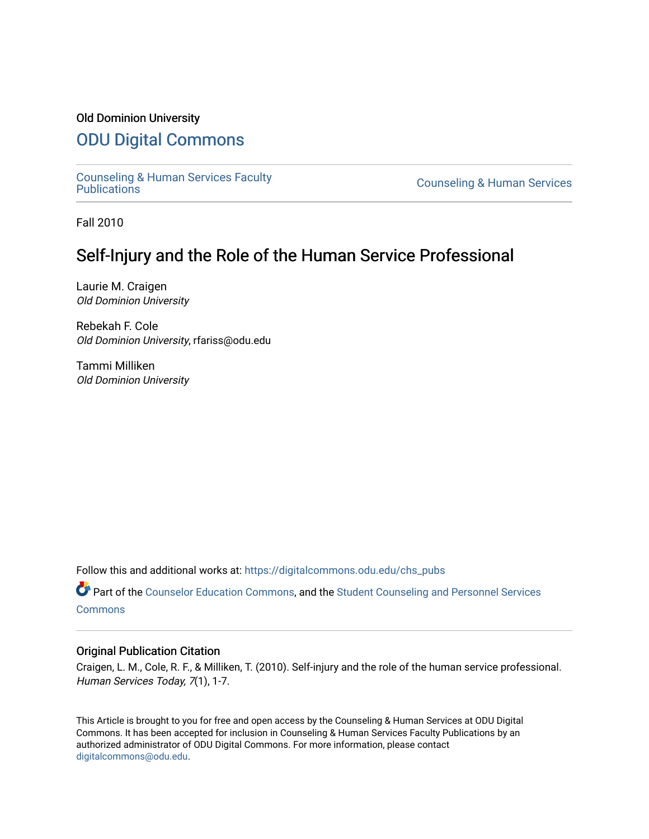### Old Dominion University

# [ODU Digital Commons](https://digitalcommons.odu.edu/)

[Counseling & Human Services Faculty](https://digitalcommons.odu.edu/chs_pubs) 

**Counseling & Human Services** 

Fall 2010

# Self-Injury and the Role of the Human Service Professional

Laurie M. Craigen Old Dominion University

Rebekah F. Cole Old Dominion University, rfariss@odu.edu

Tammi Milliken Old Dominion University

Follow this and additional works at: [https://digitalcommons.odu.edu/chs\\_pubs](https://digitalcommons.odu.edu/chs_pubs?utm_source=digitalcommons.odu.edu%2Fchs_pubs%2F36&utm_medium=PDF&utm_campaign=PDFCoverPages)

Part of the [Counselor Education Commons,](http://network.bepress.com/hgg/discipline/1278?utm_source=digitalcommons.odu.edu%2Fchs_pubs%2F36&utm_medium=PDF&utm_campaign=PDFCoverPages) and the [Student Counseling and Personnel Services](http://network.bepress.com/hgg/discipline/802?utm_source=digitalcommons.odu.edu%2Fchs_pubs%2F36&utm_medium=PDF&utm_campaign=PDFCoverPages)  [Commons](http://network.bepress.com/hgg/discipline/802?utm_source=digitalcommons.odu.edu%2Fchs_pubs%2F36&utm_medium=PDF&utm_campaign=PDFCoverPages)

#### Original Publication Citation

Craigen, L. M., Cole, R. F., & Milliken, T. (2010). Self-injury and the role of the human service professional. Human Services Today, 7(1), 1-7.

This Article is brought to you for free and open access by the Counseling & Human Services at ODU Digital Commons. It has been accepted for inclusion in Counseling & Human Services Faculty Publications by an authorized administrator of ODU Digital Commons. For more information, please contact [digitalcommons@odu.edu](mailto:digitalcommons@odu.edu).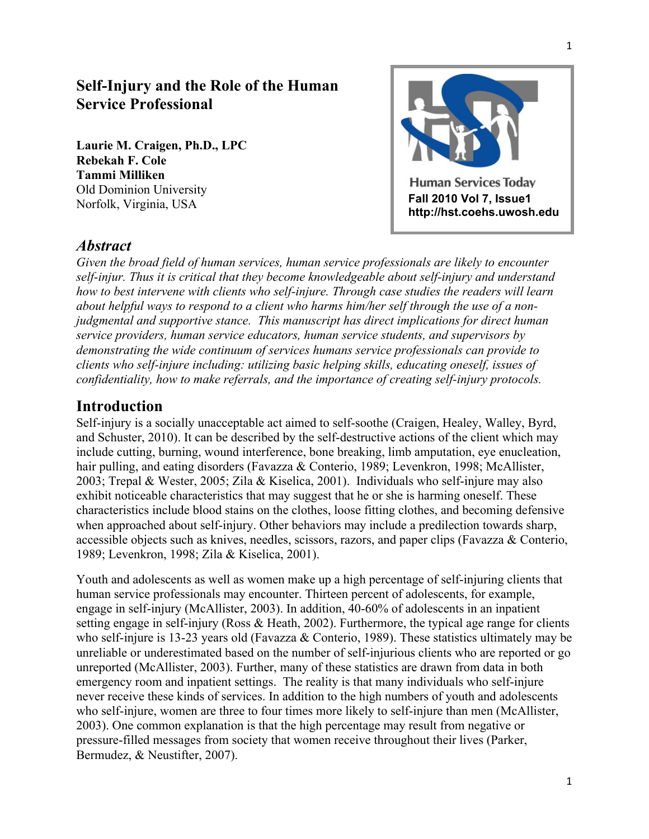# **Self-Injury and the Role of the Human Service Professional**

**Laurie M. Craigen, Ph.D., LPC Rebekah F. Cole Tammi Milliken** Old Dominion University Norfolk, Virginia, USA



### *Abstract*

*Given the broad field of human services, human service professionals are likely to encounter self-injur. Thus it is critical that they become knowledgeable about self-injury and understand how to best intervene with clients who self-injure. Through case studies the readers will learn about helpful ways to respond to a client who harms him/her self through the use of a nonjudgmental and supportive stance. This manuscript has direct implications for direct human service providers, human service educators, human service students, and supervisors by demonstrating the wide continuum of services humans service professionals can provide to clients who self-injure including: utilizing basic helping skills, educating oneself, issues of confidentiality, how to make referrals, and the importance of creating self-injury protocols.* 

### **Introduction**

Self-injury is a socially unacceptable act aimed to self-soothe (Craigen, Healey, Walley, Byrd, and Schuster, 2010). It can be described by the self-destructive actions of the client which may include cutting, burning, wound interference, bone breaking, limb amputation, eye enucleation, hair pulling, and eating disorders (Favazza & Conterio, 1989; Levenkron, 1998; McAllister, 2003; Trepal & Wester, 2005; Zila & Kiselica, 2001). Individuals who self-injure may also exhibit noticeable characteristics that may suggest that he or she is harming oneself. These characteristics include blood stains on the clothes, loose fitting clothes, and becoming defensive when approached about self-injury. Other behaviors may include a predilection towards sharp, accessible objects such as knives, needles, scissors, razors, and paper clips (Favazza & Conterio, 1989; Levenkron, 1998; Zila & Kiselica, 2001).

Youth and adolescents as well as women make up a high percentage of self-injuring clients that human service professionals may encounter. Thirteen percent of adolescents, for example, engage in self-injury (McAllister, 2003). In addition, 40-60% of adolescents in an inpatient setting engage in self-injury (Ross & Heath, 2002). Furthermore, the typical age range for clients who self-injure is 13-23 years old (Favazza & Conterio, 1989). These statistics ultimately may be unreliable or underestimated based on the number of self-injurious clients who are reported or go unreported (McAllister, 2003). Further, many of these statistics are drawn from data in both emergency room and inpatient settings. The reality is that many individuals who self-injure never receive these kinds of services. In addition to the high numbers of youth and adolescents who self-injure, women are three to four times more likely to self-injure than men (McAllister, 2003). One common explanation is that the high percentage may result from negative or pressure-filled messages from society that women receive throughout their lives (Parker, Bermudez, & Neustifter, 2007).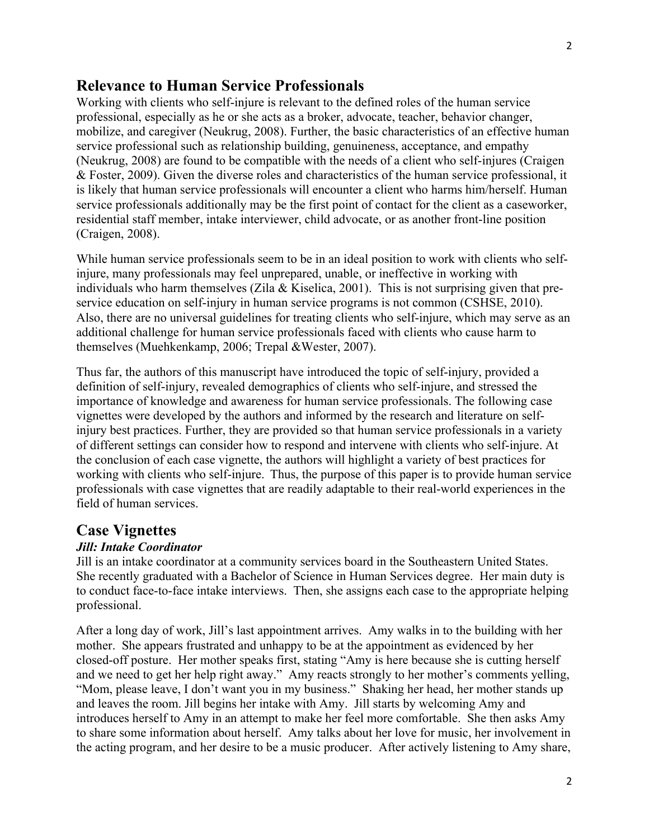### **Relevance to Human Service Professionals**

Working with clients who self-injure is relevant to the defined roles of the human service professional, especially as he or she acts as a broker, advocate, teacher, behavior changer, mobilize, and caregiver (Neukrug, 2008). Further, the basic characteristics of an effective human service professional such as relationship building, genuineness, acceptance, and empathy (Neukrug, 2008) are found to be compatible with the needs of a client who self-injures (Craigen & Foster, 2009). Given the diverse roles and characteristics of the human service professional, it is likely that human service professionals will encounter a client who harms him/herself. Human service professionals additionally may be the first point of contact for the client as a caseworker, residential staff member, intake interviewer, child advocate, or as another front-line position (Craigen, 2008).

While human service professionals seem to be in an ideal position to work with clients who selfinjure, many professionals may feel unprepared, unable, or ineffective in working with individuals who harm themselves (Zila & Kiselica, 2001). This is not surprising given that preservice education on self-injury in human service programs is not common (CSHSE, 2010). Also, there are no universal guidelines for treating clients who self-injure, which may serve as an additional challenge for human service professionals faced with clients who cause harm to themselves (Muehkenkamp, 2006; Trepal &Wester, 2007).

Thus far, the authors of this manuscript have introduced the topic of self-injury, provided a definition of self-injury, revealed demographics of clients who self-injure, and stressed the importance of knowledge and awareness for human service professionals. The following case vignettes were developed by the authors and informed by the research and literature on selfinjury best practices. Further, they are provided so that human service professionals in a variety of different settings can consider how to respond and intervene with clients who self-injure. At the conclusion of each case vignette, the authors will highlight a variety of best practices for working with clients who self-injure. Thus, the purpose of this paper is to provide human service professionals with case vignettes that are readily adaptable to their real-world experiences in the field of human services.

### **Case Vignettes**

#### *Jill: Intake Coordinator*

Jill is an intake coordinator at a community services board in the Southeastern United States. She recently graduated with a Bachelor of Science in Human Services degree. Her main duty is to conduct face-to-face intake interviews. Then, she assigns each case to the appropriate helping professional.

After a long day of work, Jill's last appointment arrives. Amy walks in to the building with her mother. She appears frustrated and unhappy to be at the appointment as evidenced by her closed-off posture. Her mother speaks first, stating "Amy is here because she is cutting herself and we need to get her help right away." Amy reacts strongly to her mother's comments yelling, "Mom, please leave, I don't want you in my business." Shaking her head, her mother stands up and leaves the room. Jill begins her intake with Amy. Jill starts by welcoming Amy and introduces herself to Amy in an attempt to make her feel more comfortable. She then asks Amy to share some information about herself. Amy talks about her love for music, her involvement in the acting program, and her desire to be a music producer. After actively listening to Amy share,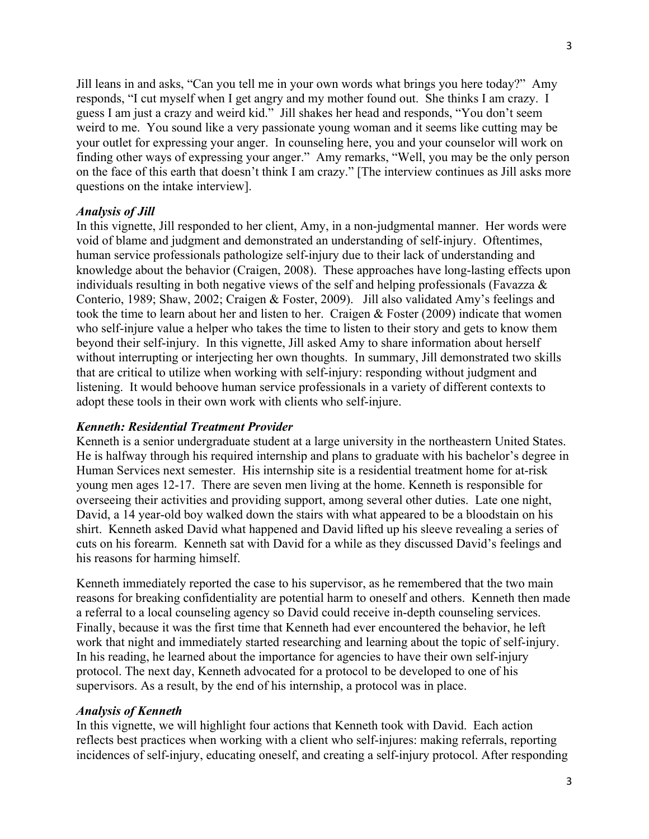3

Jill leans in and asks, "Can you tell me in your own words what brings you here today?" Amy responds, "I cut myself when I get angry and my mother found out. She thinks I am crazy. I guess I am just a crazy and weird kid." Jill shakes her head and responds, "You don't seem weird to me. You sound like a very passionate young woman and it seems like cutting may be your outlet for expressing your anger. In counseling here, you and your counselor will work on finding other ways of expressing your anger." Amy remarks, "Well, you may be the only person on the face of this earth that doesn't think I am crazy." [The interview continues as Jill asks more questions on the intake interview].

### *Analysis of Jill*

In this vignette, Jill responded to her client, Amy, in a non-judgmental manner. Her words were void of blame and judgment and demonstrated an understanding of self-injury. Oftentimes, human service professionals pathologize self-injury due to their lack of understanding and knowledge about the behavior (Craigen, 2008). These approaches have long-lasting effects upon individuals resulting in both negative views of the self and helping professionals (Favazza & Conterio, 1989; Shaw, 2002; Craigen & Foster, 2009). Jill also validated Amy's feelings and took the time to learn about her and listen to her. Craigen & Foster (2009) indicate that women who self-injure value a helper who takes the time to listen to their story and gets to know them beyond their self-injury. In this vignette, Jill asked Amy to share information about herself without interrupting or interjecting her own thoughts. In summary, Jill demonstrated two skills that are critical to utilize when working with self-injury: responding without judgment and listening. It would behoove human service professionals in a variety of different contexts to adopt these tools in their own work with clients who self-injure.

### *Kenneth: Residential Treatment Provider*

Kenneth is a senior undergraduate student at a large university in the northeastern United States. He is halfway through his required internship and plans to graduate with his bachelor's degree in Human Services next semester. His internship site is a residential treatment home for at-risk young men ages 12-17. There are seven men living at the home. Kenneth is responsible for overseeing their activities and providing support, among several other duties. Late one night, David, a 14 year-old boy walked down the stairs with what appeared to be a bloodstain on his shirt. Kenneth asked David what happened and David lifted up his sleeve revealing a series of cuts on his forearm. Kenneth sat with David for a while as they discussed David's feelings and his reasons for harming himself.

Kenneth immediately reported the case to his supervisor, as he remembered that the two main reasons for breaking confidentiality are potential harm to oneself and others. Kenneth then made a referral to a local counseling agency so David could receive in-depth counseling services. Finally, because it was the first time that Kenneth had ever encountered the behavior, he left work that night and immediately started researching and learning about the topic of self-injury. In his reading, he learned about the importance for agencies to have their own self-injury protocol. The next day, Kenneth advocated for a protocol to be developed to one of his supervisors. As a result, by the end of his internship, a protocol was in place.

### *Analysis of Kenneth*

In this vignette, we will highlight four actions that Kenneth took with David. Each action reflects best practices when working with a client who self-injures: making referrals, reporting incidences of self-injury, educating oneself, and creating a self-injury protocol. After responding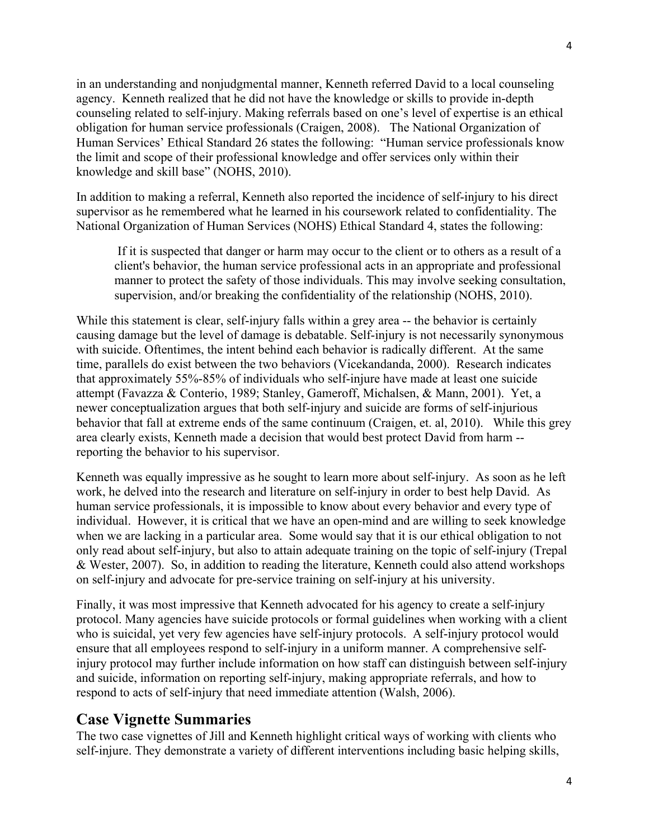in an understanding and nonjudgmental manner, Kenneth referred David to a local counseling agency. Kenneth realized that he did not have the knowledge or skills to provide in-depth counseling related to self-injury. Making referrals based on one's level of expertise is an ethical obligation for human service professionals (Craigen, 2008). The National Organization of Human Services' Ethical Standard 26 states the following: "Human service professionals know the limit and scope of their professional knowledge and offer services only within their knowledge and skill base" (NOHS, 2010).

In addition to making a referral, Kenneth also reported the incidence of self-injury to his direct supervisor as he remembered what he learned in his coursework related to confidentiality. The National Organization of Human Services (NOHS) Ethical Standard 4, states the following:

If it is suspected that danger or harm may occur to the client or to others as a result of a client's behavior, the human service professional acts in an appropriate and professional manner to protect the safety of those individuals. This may involve seeking consultation, supervision, and/or breaking the confidentiality of the relationship (NOHS, 2010).

While this statement is clear, self-injury falls within a grey area -- the behavior is certainly causing damage but the level of damage is debatable. Self-injury is not necessarily synonymous with suicide. Oftentimes, the intent behind each behavior is radically different. At the same time, parallels do exist between the two behaviors (Vicekandanda, 2000). Research indicates that approximately 55%-85% of individuals who self-injure have made at least one suicide attempt (Favazza & Conterio, 1989; Stanley, Gameroff, Michalsen, & Mann, 2001). Yet, a newer conceptualization argues that both self-injury and suicide are forms of self-injurious behavior that fall at extreme ends of the same continuum (Craigen, et. al, 2010). While this grey area clearly exists, Kenneth made a decision that would best protect David from harm - reporting the behavior to his supervisor.

Kenneth was equally impressive as he sought to learn more about self-injury. As soon as he left work, he delved into the research and literature on self-injury in order to best help David. As human service professionals, it is impossible to know about every behavior and every type of individual. However, it is critical that we have an open-mind and are willing to seek knowledge when we are lacking in a particular area. Some would say that it is our ethical obligation to not only read about self-injury, but also to attain adequate training on the topic of self-injury (Trepal & Wester, 2007). So, in addition to reading the literature, Kenneth could also attend workshops on self-injury and advocate for pre-service training on self-injury at his university.

Finally, it was most impressive that Kenneth advocated for his agency to create a self-injury protocol. Many agencies have suicide protocols or formal guidelines when working with a client who is suicidal, yet very few agencies have self-injury protocols. A self-injury protocol would ensure that all employees respond to self-injury in a uniform manner. A comprehensive selfinjury protocol may further include information on how staff can distinguish between self-injury and suicide, information on reporting self-injury, making appropriate referrals, and how to respond to acts of self-injury that need immediate attention (Walsh, 2006).

## **Case Vignette Summaries**

The two case vignettes of Jill and Kenneth highlight critical ways of working with clients who self-injure. They demonstrate a variety of different interventions including basic helping skills,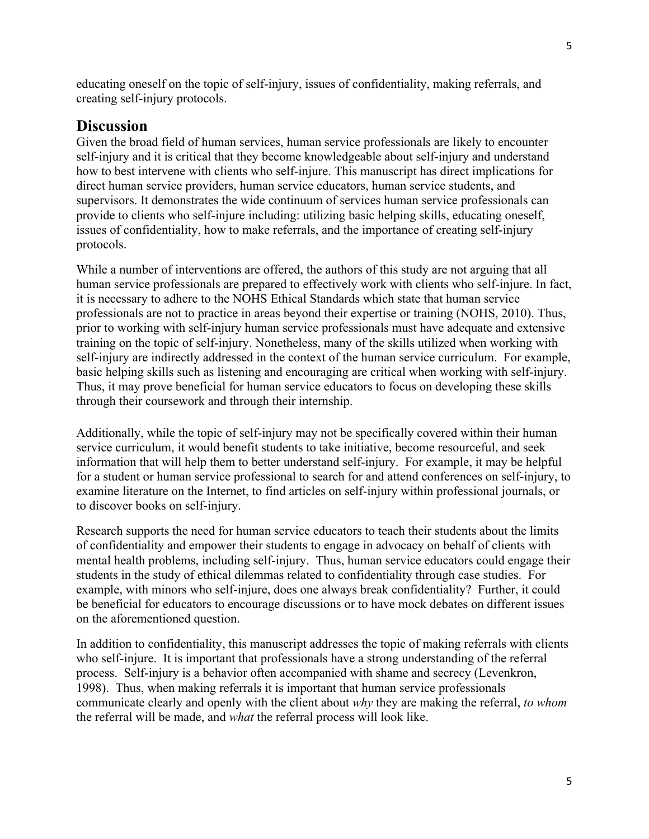educating oneself on the topic of self-injury, issues of confidentiality, making referrals, and creating self-injury protocols.

### **Discussion**

Given the broad field of human services, human service professionals are likely to encounter self-injury and it is critical that they become knowledgeable about self-injury and understand how to best intervene with clients who self-injure. This manuscript has direct implications for direct human service providers, human service educators, human service students, and supervisors. It demonstrates the wide continuum of services human service professionals can provide to clients who self-injure including: utilizing basic helping skills, educating oneself, issues of confidentiality, how to make referrals, and the importance of creating self-injury protocols.

While a number of interventions are offered, the authors of this study are not arguing that all human service professionals are prepared to effectively work with clients who self-injure. In fact, it is necessary to adhere to the NOHS Ethical Standards which state that human service professionals are not to practice in areas beyond their expertise or training (NOHS, 2010). Thus, prior to working with self-injury human service professionals must have adequate and extensive training on the topic of self-injury. Nonetheless, many of the skills utilized when working with self-injury are indirectly addressed in the context of the human service curriculum. For example, basic helping skills such as listening and encouraging are critical when working with self-injury. Thus, it may prove beneficial for human service educators to focus on developing these skills through their coursework and through their internship.

Additionally, while the topic of self-injury may not be specifically covered within their human service curriculum, it would benefit students to take initiative, become resourceful, and seek information that will help them to better understand self-injury. For example, it may be helpful for a student or human service professional to search for and attend conferences on self-injury, to examine literature on the Internet, to find articles on self-injury within professional journals, or to discover books on self-injury.

Research supports the need for human service educators to teach their students about the limits of confidentiality and empower their students to engage in advocacy on behalf of clients with mental health problems, including self-injury. Thus, human service educators could engage their students in the study of ethical dilemmas related to confidentiality through case studies. For example, with minors who self-injure, does one always break confidentiality? Further, it could be beneficial for educators to encourage discussions or to have mock debates on different issues on the aforementioned question.

In addition to confidentiality, this manuscript addresses the topic of making referrals with clients who self-injure. It is important that professionals have a strong understanding of the referral process. Self-injury is a behavior often accompanied with shame and secrecy (Levenkron, 1998). Thus, when making referrals it is important that human service professionals communicate clearly and openly with the client about *why* they are making the referral, *to whom*  the referral will be made, and *what* the referral process will look like.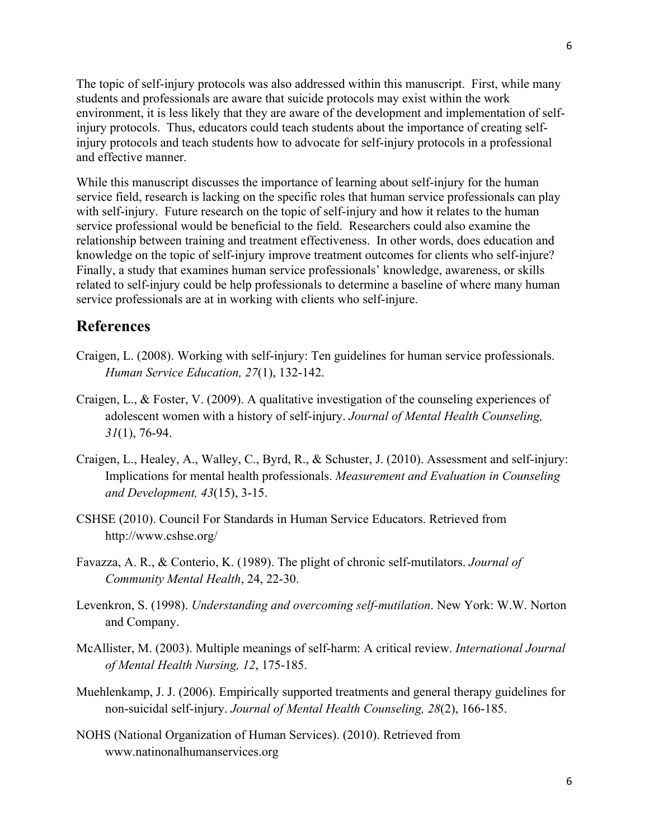The topic of self-injury protocols was also addressed within this manuscript. First, while many students and professionals are aware that suicide protocols may exist within the work environment, it is less likely that they are aware of the development and implementation of selfinjury protocols. Thus, educators could teach students about the importance of creating selfinjury protocols and teach students how to advocate for self-injury protocols in a professional and effective manner.

While this manuscript discusses the importance of learning about self-injury for the human service field, research is lacking on the specific roles that human service professionals can play with self-injury. Future research on the topic of self-injury and how it relates to the human service professional would be beneficial to the field. Researchers could also examine the relationship between training and treatment effectiveness. In other words, does education and knowledge on the topic of self-injury improve treatment outcomes for clients who self-injure? Finally, a study that examines human service professionals' knowledge, awareness, or skills related to self-injury could be help professionals to determine a baseline of where many human service professionals are at in working with clients who self-injure.

### **References**

- Craigen, L. (2008). Working with self-injury: Ten guidelines for human service professionals. *Human Service Education, 27*(1), 132-142.
- Craigen, L., & Foster, V. (2009). A qualitative investigation of the counseling experiences of adolescent women with a history of self-injury. *Journal of Mental Health Counseling, 31*(1), 76-94.
- Craigen, L., Healey, A., Walley, C., Byrd, R., & Schuster, J. (2010). Assessment and self-injury: Implications for mental health professionals. *Measurement and Evaluation in Counseling and Development, 43*(15), 3-15.
- CSHSE (2010). Council For Standards in Human Service Educators. Retrieved from http://www.cshse.org/
- Favazza, A. R., & Conterio, K. (1989). The plight of chronic self-mutilators. *Journal of Community Mental Health*, 24, 22-30.
- Levenkron, S. (1998). *Understanding and overcoming self-mutilation*. New York: W.W. Norton and Company.
- McAllister, M. (2003). Multiple meanings of self-harm: A critical review. *International Journal of Mental Health Nursing, 12*, 175-185.
- Muehlenkamp, J. J. (2006). Empirically supported treatments and general therapy guidelines for non-suicidal self-injury. *Journal of Mental Health Counseling, 28*(2), 166-185.
- NOHS (National Organization of Human Services). (2010). Retrieved from www.natinonalhumanservices.org